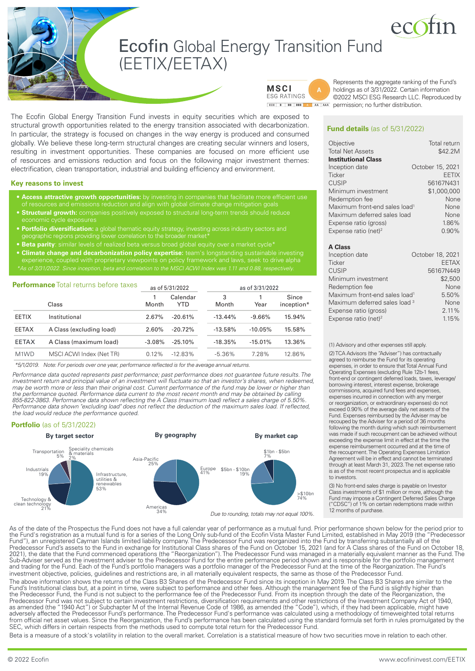# **Ecofin Global Energy Transition Fund** (EETIX/EETAX)



**MSCI ESG RATINGS** 

Represents the aggregate ranking of the Fund's holdings as of 3/31/2022. Certain information ©2022 MSCI ESG Research LLC. Reproduced by **ECC B** BB BBB A A AA AAA permission; no further distribution.

The Ecofin Global Energy Transition Fund invests in equity securities which are exposed to structural growth opportunities related to the energy transition associated with decarbonization. In particular, the strategy is focused on changes in the way energy is produced and consumed globally. We believe these long-term structural changes are creating secular winners and losers, resulting in investment opportunities. These companies are focused on more efficient use of resources and emissions reduction and focus on the following major investment themes: electrification, clean transportation, industrial and building efficiency and environment.

### **Key reasons to invest**

- **• Access attractive growth opportunities:** by investing in companies that facilitate more efficient use
- **• Structural growth:** companies positively exposed to structural long-term trends should reduce
- **• Portfolio diversification:** a global thematic equity strategy, investing across industry sectors and
- **• Beta parity**: similar levels of realized beta versus broad global equity over a market cycle\*
- **• Climate change and decarbonization policy expertise:** team's longstanding sustainable investing

| <b>Performance</b> Total returns before taxes |                          | as of 5/31/2022 |                 | as of 3/31/2022 |           |                     |
|-----------------------------------------------|--------------------------|-----------------|-----------------|-----------------|-----------|---------------------|
|                                               | Class                    | Month           | Calendar<br>YTD | 3<br>Month      | 1<br>Year | Since<br>inception* |
| <b>EETIX</b>                                  | Institutional            | 2.67%           | $-20.61%$       | $-13.44\%$      | $-9.66\%$ | 15.94%              |
| <b>EETAX</b>                                  | A Class (excluding load) | 2.60%           | $-20.72%$       | $-13.58%$       | $-10.05%$ | 15.58%              |
| <b>EETAX</b>                                  | A Class (maximum load)   | $-3.08%$        | $-25.10%$       | $-18.35%$       | $-15.01%$ | 13.36%              |
| M1WD                                          | MSCI ACWI Index (Net TR) | 0.12%           | $-12.83\%$      | $-5.36\%$       | 7.28%     | 12.86%              |

*\*5/1/2019. Note: For periods over one year, performance reflected is for the average annual returns.*

*Performance data quoted represents past performance; past performance does not guarantee future results. The investment return and principal value of an investment will fluctuate so that an investor's shares, when redeemed, may be worth more or less than their original cost. Current performance of the fund may be lower or higher than the performance quoted. Performance data current to the most recent month end may be obtained by calling 855-822-3863. Performance data shown reflecting the A Class (maximum load) reflect a sales charge of 5.50%.*  Performance data shown "excluding load" does not reflect the deduction of the maximum sales load. If reflected, *the load would reduce the performance quoted.* 

### **Portfolio** (as of 5/31/2022)



**Fund details** (as of 5/31/2022)

| Objective                                 | Total return     |
|-------------------------------------------|------------------|
| <b>Total Net Assets</b>                   | \$42.2M          |
| <b>Institutional Class</b>                |                  |
| Inception date                            | October 15, 2021 |
| Ticker                                    | <b>EETIX</b>     |
| <b>CUSIP</b>                              | 56167N431        |
| Minimum investment                        | \$1,000,000      |
| Redemption fee                            | None             |
| Maximum front-end sales load <sup>1</sup> | None             |
| Maximum deferred sales load               | None             |
| Expense ratio (gross)                     | 1.86%            |
| Expense ratio (net) <sup>2</sup>          | 0.90%            |

### **A Class**

| Inception date                            | October 18, 2021 |
|-------------------------------------------|------------------|
| <b>Ticker</b>                             | <b>EETAX</b>     |
| <b>CUSIP</b>                              | 56167N449        |
| Minimum investment                        | \$2,500          |
| Redemption fee                            | None             |
| Maximum front-end sales load <sup>1</sup> | 5.50%            |
| Maximum deferred sales load 3             | None             |
| Expense ratio (gross)                     | 2.11%            |
| Expense ratio (net) <sup>2</sup>          | 1.15%            |

(1) Advisory and other expenses still apply.

(2) TCA Advisors (the "Adviser") has contractually agreed to reimburse the Fund for its operating expenses, in order to ensure that Total Annual Fund Operating Expenses (excluding Rule 12b-1 fees, front-end or contingent deferred loads, taxes, leverage/ borrowing interest, interest expense, brokerage commissions, acquired fund fees and expenses, expenses incurred in connection with any merger or reorganization, or extraordinary expenses) do not exceed 0.90% of the average daily net assets of the Fund. Expenses reimbursed by the Adviser may be recouped by the Adviser for a period of 36 months following the month during which such reimbursement was made if such recoupment can be achieved without exceeding the expense limit in effect at the time the expense reimbursement occurred and at the time of the recoupment. The Operating Expenses Limitation Agreement will be in effect and cannot be terminated through at least March 31, 2023. The net expense ratio is as of the most recent prospectus and is applicable to investors.

(3) No front-end sales charge is payable on Investor Class investments of \$1 million or more, although the Fund may impose a Contingent Deferred Sales Charge ("CDSC") of 1% on certain redemptions made within 12 months of purchase.

the Fund's registration as a mutual fund is for a series of the Long Only sub-fund of the Ecofin Vista Master Fund Limited, established in May 2019 (the "Predecessor Fund"), an unregistered Cayman Islands limited liability company. The Predecessor Fund was reorganized into the Fund by transferring substantially all of the Predecessor Fund's assets to the Fund in exchange for Institutional Class shares of the Fund on October 15, 2021 (and for A Class shares of the Fund on October 18, 2021), the date that the Fund commenced operations (the "Reorganization"). The Predecessor Fund was managed in a materially equivalent manner as the Fund. The Sub-Adviser served as the investment adviser to the Predecessor Fund for the entire performance period shown and is responsible for the portfolio management<br>and trading for the Fund. Each of the Fund's portfolio managers w investment objective, policies, guidelines and restrictions are, in all materially equivalent respects, the same as those of the Predecessor Fund. The above information shows the returns of the Class B3 Shares of the Predecessor Fund since its inception in May 2019. The Class B3 Shares are similar to the Fund's Institutional class but, at a point in time, were subject to performance and other fees. Although the management fee of the Fund is slightly higher than the Predecessor Fund, the Fund is not subject to the performance fee of the Predecessor Fund. From its inception through the date of the Reorganization, the Predecessor Fund was not subject to certain investment restrictions, diversification requirements and other restrictions of the Investment Company Act of 1940, as amended (the "1940 Act") or Subchapter M of the Internal Revenue Code of 1986, as amended (the "Code"), which, if they had been applicable, might have adversely affected the Predecessor Fund's performance. The Predecessor Fund's performance was calculated using a methodology of timeweighted total returns from official net asset values. Since the Reorganization, the Fund's performance has been calculated using the standard formula set forth in rules promulgated by the SEC, which differs in certain respects from the methods used to compute total return for the Predecessor Fund.

As of the date of the Prospectus the Fund does not have a full calendar year of performance as a mutual fund. Prior performance shown below for the period prior to

Beta is a measure of a stock's volatility in relation to the overall market. Correlation is a statistical measure of how two securities move in relation to each other.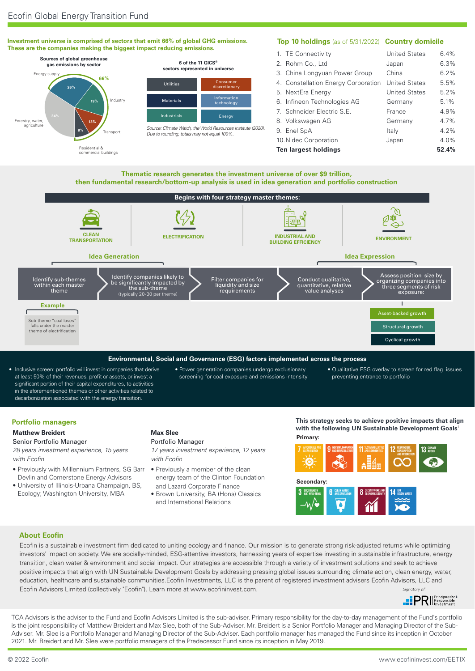



**Environmental, Social and Governance (ESG) factors implemented across the process**

- Inclusive screen: portfolio will invest in companies that derive at least 50% of their revenues, profit or assets, or invest a significant portion of their capital expenditures, to activities in the aforementioned themes or other activities related to decarbonization associated with the energy transition.
- Power generation companies undergo exclusionary screening for coal exposure and emissions intensity
- Qualitative ESG overlay to screen for red flag issues preventing entrance to portfolio

# **Portfolio managers**

## **Matthew Breidert**

# Senior Portfolio Manager *28 years investment experience, 15 years*

- *with Ecofin* • Previously with Millennium Partners, SG Barr
- Devlin and Cornerstone Energy Advisors • University of Illinois-Urbana Champaign, BS,
- Ecology; Washington University, MBA

# **Max Slee**

# Portfolio Manager

*17 years investment experience, 12 years with Ecofin*

- Previously a member of the clean energy team of the Clinton Foundation and Lazard Corporate Finance
- Brown University, BA (Hons) Classics and International Relations

**Primary: This strategy seeks to achieve positive impacts that align with the following UN Sustainable Development Goals**†



# **About Ecofin**

Ecofin is a sustainable investment firm dedicated to uniting ecology and finance. Our mission is to generate strong risk-adjusted returns while optimizing investors' impact on society. We are socially-minded, ESG-attentive investors, harnessing years of expertise investing in sustainable infrastructure, energy transition, clean water & environment and social impact. Our strategies are accessible through a variety of investment solutions and seek to achieve positive impacts that align with UN Sustainable Development Goals by addressing pressing global issues surrounding climate action, clean energy, water, education, healthcare and sustainable communities.Ecofin Investments, LLC is the parent of registered investment advisers Ecofin Advisors, LLC and Ecofin Advisors Limited (collectively "Ecofin"). Learn more at www.ecofininvest.com. Signatory of



TCA Advisors is the adviser to the Fund and Ecofin Advisors Limited is the sub-adviser. Primary responsibility for the day-to-day management of the Fund's portfolio is the joint responsibility of Matthew Breidert and Max Slee, both of the Sub-Adviser. Mr. Breidert is a Senior Portfolio Manager and Managing Director of the Sub-Adviser. Mr. Slee is a Portfolio Manager and Managing Director of the Sub-Adviser. Each portfolio manager has managed the Fund since its inception in October 2021. Mr. Breidert and Mr. Slee were portfolio managers of the Predecessor Fund since its inception in May 2019.